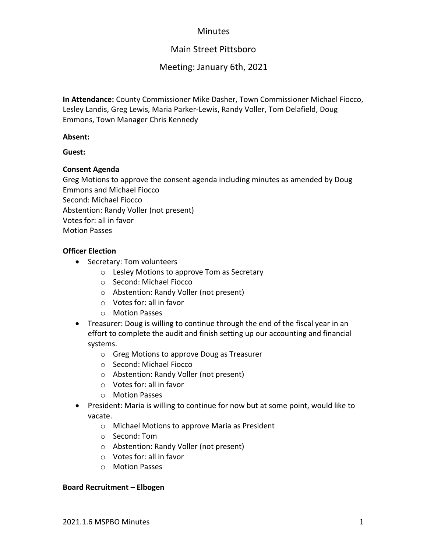## **Minutes**

# Main Street Pittsboro

## Meeting: January 6th, 2021

**In Attendance:** County Commissioner Mike Dasher, Town Commissioner Michael Fiocco, Lesley Landis, Greg Lewis, Maria Parker-Lewis, Randy Voller, Tom Delafield, Doug Emmons, Town Manager Chris Kennedy

## **Absent:**

## **Guest:**

## **Consent Agenda**

Greg Motions to approve the consent agenda including minutes as amended by Doug Emmons and Michael Fiocco Second: Michael Fiocco Abstention: Randy Voller (not present) Votes for: all in favor Motion Passes

## **Officer Election**

- Secretary: Tom volunteers
	- o Lesley Motions to approve Tom as Secretary
	- o Second: Michael Fiocco
	- o Abstention: Randy Voller (not present)
	- o Votes for: all in favor
	- o Motion Passes
- Treasurer: Doug is willing to continue through the end of the fiscal year in an effort to complete the audit and finish setting up our accounting and financial systems.
	- o Greg Motions to approve Doug as Treasurer
	- o Second: Michael Fiocco
	- o Abstention: Randy Voller (not present)
	- o Votes for: all in favor
	- o Motion Passes
- President: Maria is willing to continue for now but at some point, would like to vacate.
	- o Michael Motions to approve Maria as President
	- o Second: Tom
	- o Abstention: Randy Voller (not present)
	- o Votes for: all in favor
	- o Motion Passes

#### **Board Recruitment – Elbogen**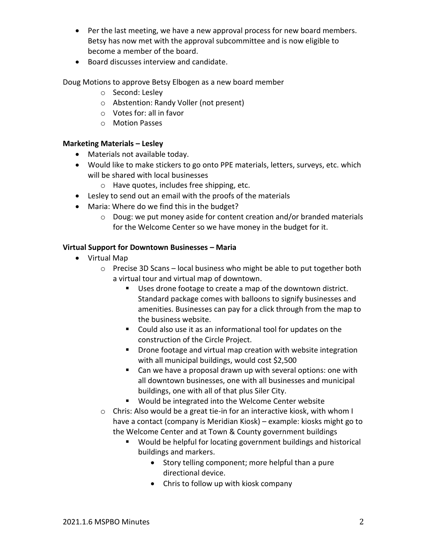- Per the last meeting, we have a new approval process for new board members. Betsy has now met with the approval subcommittee and is now eligible to become a member of the board.
- Board discusses interview and candidate.

Doug Motions to approve Betsy Elbogen as a new board member

- o Second: Lesley
- o Abstention: Randy Voller (not present)
- o Votes for: all in favor
- o Motion Passes

## **Marketing Materials – Lesley**

- Materials not available today.
- Would like to make stickers to go onto PPE materials, letters, surveys, etc. which will be shared with local businesses
	- o Have quotes, includes free shipping, etc.
- Lesley to send out an email with the proofs of the materials
- Maria: Where do we find this in the budget?
	- o Doug: we put money aside for content creation and/or branded materials for the Welcome Center so we have money in the budget for it.

## **Virtual Support for Downtown Businesses – Maria**

- Virtual Map
	- o Precise 3D Scans local business who might be able to put together both a virtual tour and virtual map of downtown.
		- Uses drone footage to create a map of the downtown district. Standard package comes with balloons to signify businesses and amenities. Businesses can pay for a click through from the map to the business website.
		- Could also use it as an informational tool for updates on the construction of the Circle Project.
		- Drone footage and virtual map creation with website integration with all municipal buildings, would cost \$2,500
		- Can we have a proposal drawn up with several options: one with all downtown businesses, one with all businesses and municipal buildings, one with all of that plus Siler City.
		- Would be integrated into the Welcome Center website
	- o Chris: Also would be a great tie-in for an interactive kiosk, with whom I have a contact (company is Meridian Kiosk) – example: kiosks might go to the Welcome Center and at Town & County government buildings
		- Would be helpful for locating government buildings and historical buildings and markers.
			- Story telling component; more helpful than a pure directional device.
			- Chris to follow up with kiosk company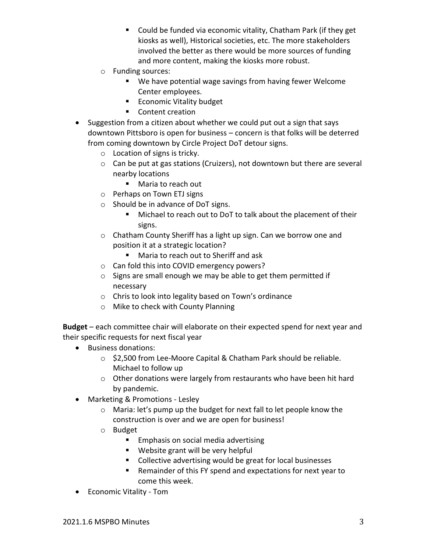- Could be funded via economic vitality, Chatham Park (if they get kiosks as well), Historical societies, etc. The more stakeholders involved the better as there would be more sources of funding and more content, making the kiosks more robust.
- o Funding sources:
	- We have potential wage savings from having fewer Welcome Center employees.
	- Economic Vitality budget
	- Content creation
- Suggestion from a citizen about whether we could put out a sign that says downtown Pittsboro is open for business – concern is that folks will be deterred from coming downtown by Circle Project DoT detour signs.
	- o Location of signs is tricky.
	- o Can be put at gas stations (Cruizers), not downtown but there are several nearby locations
		- Maria to reach out
	- o Perhaps on Town ETJ signs
	- o Should be in advance of DoT signs.
		- Michael to reach out to DoT to talk about the placement of their signs.
	- o Chatham County Sheriff has a light up sign. Can we borrow one and position it at a strategic location?
		- Maria to reach out to Sheriff and ask
	- o Can fold this into COVID emergency powers?
	- o Signs are small enough we may be able to get them permitted if necessary
	- o Chris to look into legality based on Town's ordinance
	- o Mike to check with County Planning

**Budget** – each committee chair will elaborate on their expected spend for next year and their specific requests for next fiscal year

- Business donations:
	- o \$2,500 from Lee-Moore Capital & Chatham Park should be reliable. Michael to follow up
	- o Other donations were largely from restaurants who have been hit hard by pandemic.
- Marketing & Promotions Lesley
	- o Maria: let's pump up the budget for next fall to let people know the construction is over and we are open for business!
	- o Budget
		- Emphasis on social media advertising
		- Website grant will be very helpful
		- Collective advertising would be great for local businesses
		- Remainder of this FY spend and expectations for next year to come this week.
- Economic Vitality Tom